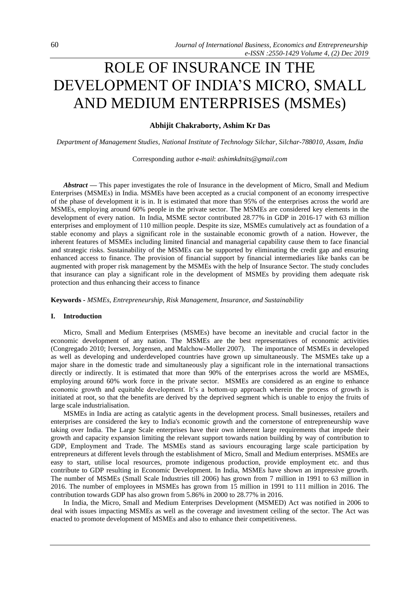# ROLE OF INSURANCE IN THE DEVELOPMENT OF INDIA'S MICRO, SMALL AND MEDIUM ENTERPRISES (MSMEs)

# **Abhijit Chakraborty, Ashim Kr Das**

*Department of Management Studies, National Institute of Technology Silchar, Silchar-788010, Assam, India*

Corresponding author *e-mail*: *ashimkdnits@gmail.com*

*Abstract* — This paper investigates the role of Insurance in the development of Micro, Small and Medium Enterprises (MSMEs) in India. MSMEs have been accepted as a crucial component of an economy irrespective of the phase of development it is in. It is estimated that more than 95% of the enterprises across the world are MSMEs, employing around 60% people in the private sector. The MSMEs are considered key elements in the development of every nation. In India, MSME sector contributed 28.77% in GDP in 2016-17 with 63 million enterprises and employment of 110 million people. Despite its size, MSMEs cumulatively act as foundation of a stable economy and plays a significant role in the sustainable economic growth of a nation. However, the inherent features of MSMEs including limited financial and managerial capability cause them to face financial and strategic risks. Sustainability of the MSMEs can be supported by eliminating the credit gap and ensuring enhanced access to finance. The provision of financial support by financial intermediaries like banks can be augmented with proper risk management by the MSMEs with the help of Insurance Sector. The study concludes that insurance can play a significant role in the development of MSMEs by providing them adequate risk protection and thus enhancing their access to finance

**Keywords -** *MSMEs, Entrepreneurship, Risk Management, Insurance, and Sustainability*

# **I. Introduction**

Micro, Small and Medium Enterprises (MSMEs) have become an inevitable and crucial factor in the economic development of any nation. The MSMEs are the best representatives of economic activities (Congregado 2010; Iversen, Jorgensen, and Malchow-Moller 2007). The importance of MSMEs in developed as well as developing and underdeveloped countries have grown up simultaneously. The MSMEs take up a major share in the domestic trade and simultaneously play a significant role in the international transactions directly or indirectly. It is estimated that more than 90% of the enterprises across the world are MSMEs, employing around 60% work force in the private sector. MSMEs are considered as an engine to enhance economic growth and equitable development. It's a bottom-up approach wherein the process of growth is initiated at root, so that the benefits are derived by the deprived segment which is unable to enjoy the fruits of large scale industrialisation.

MSMEs in India are acting as catalytic agents in the development process. Small businesses, retailers and enterprises are considered the key to India's economic growth and the cornerstone of entrepreneurship wave taking over India. The Large Scale enterprises have their own inherent large requirements that impede their growth and capacity expansion limiting the relevant support towards nation building by way of contribution to GDP, Employment and Trade. The MSMEs stand as saviours encouraging large scale participation by entrepreneurs at different levels through the establishment of Micro, Small and Medium enterprises. MSMEs are easy to start, utilise local resources, promote indigenous production, provide employment etc. and thus contribute to GDP resulting in Economic Development. In India, MSMEs have shown an impressive growth. The number of MSMEs (Small Scale Industries till 2006) has grown from 7 million in 1991 to 63 million in 2016. The number of employees in MSMEs has grown from 15 million in 1991 to 111 million in 2016. The contribution towards GDP has also grown from 5.86% in 2000 to 28.77% in 2016.

In India, the Micro, Small and Medium Enterprises Development (MSMED) Act was notified in 2006 to deal with issues impacting MSMEs as well as the coverage and investment ceiling of the sector. The Act was enacted to promote development of MSMEs and also to enhance their competitiveness.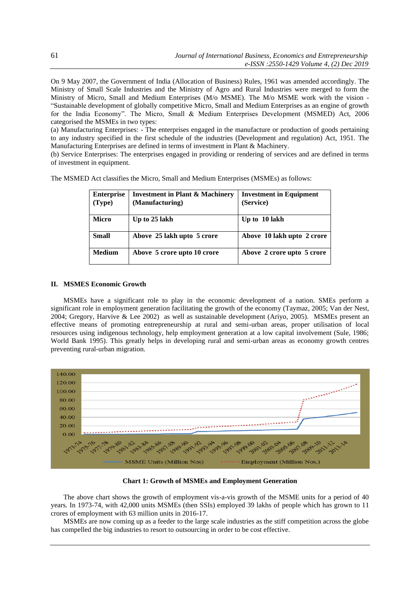On 9 May 2007, the Government of India (Allocation of Business) Rules, 1961 was amended accordingly. The Ministry of Small Scale Industries and the Ministry of Agro and Rural Industries were merged to form the Ministry of Micro, Small and Medium Enterprises (M/o MSME). The M/o MSME work with the vision - "Sustainable development of globally competitive Micro, Small and Medium Enterprises as an engine of growth for the India Economy". The Micro, Small & Medium Enterprises Development (MSMED) Act, 2006 categorised the MSMEs in two types:

(a) Manufacturing Enterprises: - The enterprises engaged in the manufacture or production of goods pertaining to any industry specified in the first schedule of the industries (Development and regulation) Act, 1951. The Manufacturing Enterprises are defined in terms of investment in Plant & Machinery.

(b) Service Enterprises: The enterprises engaged in providing or rendering of services and are defined in terms of investment in equipment.

| <b>Enterprise</b><br>(Type) | <b>Investment in Plant &amp; Machinery</b><br>(Manufacturing) | <b>Investment in Equipment</b><br>(Service) |
|-----------------------------|---------------------------------------------------------------|---------------------------------------------|
| <b>Micro</b>                | Up to 25 lakh                                                 | Up to 10 lakh                               |
| <b>Small</b>                | Above 25 lakh upto 5 crore                                    | Above 10 lakh upto 2 crore                  |
| <b>Medium</b>               | Above 5 crore upto 10 crore                                   | Above 2 crore upto 5 crore                  |

The MSMED Act classifies the Micro, Small and Medium Enterprises (MSMEs) as follows:

# **II. MSMES Economic Growth**

MSMEs have a significant role to play in the economic development of a nation. SMEs perform a significant role in employment generation facilitating the growth of the economy (Taymaz, 2005; Van der Nest, 2004; Gregory, Harvive & Lee 2002) as well as sustainable development (Ariyo, 2005). MSMEs present an effective means of promoting entrepreneurship at rural and semi-urban areas, proper utilisation of local resources using indigenous technology, help employment generation at a low capital involvement (Sule, 1986; World Bank 1995). This greatly helps in developing rural and semi-urban areas as economy growth centres preventing rural-urban migration.



**Chart 1: Growth of MSMEs and Employment Generation**

The above chart shows the growth of employment vis-a-vis growth of the MSME units for a period of 40 years. In 1973-74, with 42,000 units MSMEs (then SSIs) employed 39 lakhs of people which has grown to 11 crores of employment with 63 million units in 2016-17.

MSMEs are now coming up as a feeder to the large scale industries as the stiff competition across the globe has compelled the big industries to resort to outsourcing in order to be cost effective.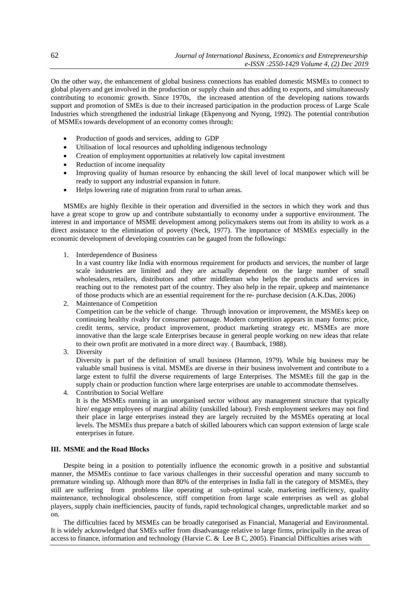On the other way, the enhancement of global business connections has enabled domestic MSMEs to connect to global players and get involved in the production or supply chain and thus adding to exports, and simultaneously contributing to economic growth. Since 1970s, the increased attention of the developing nations towards support and promotion of SMEs is due to their increased participation in the production process of Large Scale Industries which strengthened the industrial linkage (Ekpenyong and Nyong, 1992). The potential contribution of MSMEs towards development of an economy comes through:

- Production of goods and services, adding to GDP
- Utilisation of local resources and upholding indigenous technology
- Creation of employment opportunities at relatively low capital investment
- Reduction of income inequality
- Improving quality of human resource by enhancing the skill level of local manpower which will be ready to support any industrial expansion in future.
- Helps lowering rate of migration from rural to urban areas.

MSMEs are highly flexible in their operation and diversified in the sectors in which they work and thus have a great scope to grow up and contribute substantially to economy under a supportive environment. The interest in and importance of MSME development among policymakers stems out from its ability to work as a direct assistance to the elimination of poverty (Neck, 1977). The importance of MSMEs especially in the economic development of developing countries can be gauged from the followings:

1. Interdependence of Business

In a vast country like India with enormous requirement for products and services, the number of large scale industries are limited and they are actually dependent on the large number of small wholesalers, retailers, distributors and other middleman who helps the products and services in reaching out to the remotest part of the country. They also help in the repair, upkeep and maintenance of those products which are an essential requirement for the re- purchase decision (A.K.Das, 2006)

2. Maintenance of Competition Competition can be the vehicle of change. Through innovation or improvement, the MSMEs keep on continuing healthy rivalry for consumer patronage. Modern competition appears in many forms: price, credit terms, service, product improvement, product marketing strategy etc. MSMEs are more innovative than the large scale Enterprises because in general people working on new ideas that relate to their own profit are motivated in a more direct way. ( Baumback, 1988).

3. Diversity

Diversity is part of the definition of small business (Harmon, 1979). While big business may be valuable small business is vital. MSMEs are diverse in their business involvement and contribute to a large extent to fulfil the diverse requirements of large Enterprises. The MSMEs fill the gap in the supply chain or production function where large enterprises are unable to accommodate themselves.

4. Contribution to Social Welfare

It is the MSMEs running in an unorganised sector without any management structure that typically hire/ engage employees of marginal ability (unskilled labour). Fresh employment seekers may not find their place in large enterprises instead they are largely recruited by the MSMEs operating at local levels. The MSMEs thus prepare a batch of skilled labourers which can support extension of large scale enterprises in future.

## **III. MSME and the Road Blocks**

Despite being in a position to potentially influence the economic growth in a positive and substantial manner, the MSMEs continue to face various challenges in their successful operation and many succumb to premature winding up. Although more than 80% of the enterprises in India fall in the category of MSMEs, they still are suffering from problems like operating at sub-optimal scale, marketing inefficiency, quality maintenance, technological obsolescence, stiff competition from large scale enterprises as well as global players, supply chain inefficiencies, paucity of funds, rapid technological changes, unpredictable market and so on.

The difficulties faced by MSMEs can be broadly categorised as Financial, Managerial and Environmental. It is widely acknowledged that SMEs suffer from disadvantage relative to large firms, principally in the areas of access to finance, information and technology (Harvie C. & Lee B C, 2005). Financial Difficulties arises with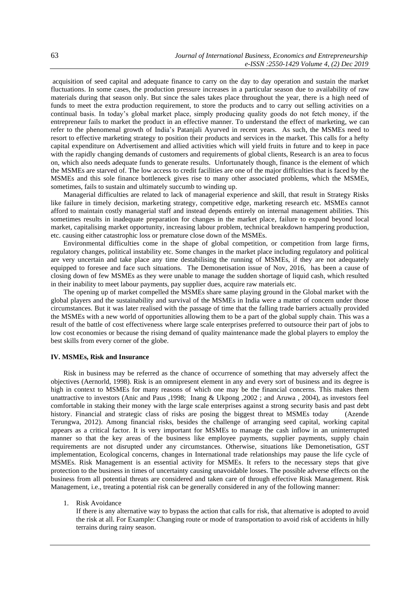acquisition of seed capital and adequate finance to carry on the day to day operation and sustain the market fluctuations. In some cases, the production pressure increases in a particular season due to availability of raw materials during that season only. But since the sales takes place throughout the year, there is a high need of funds to meet the extra production requirement, to store the products and to carry out selling activities on a continual basis. In today's global market place, simply producing quality goods do not fetch money, if the entrepreneur fails to market the product in an effective manner. To understand the effect of marketing, we can refer to the phenomenal growth of India's Patanjali Ayurved in recent years. As such, the MSMEs need to resort to effective marketing strategy to position their products and services in the market. This calls for a hefty capital expenditure on Advertisement and allied activities which will yield fruits in future and to keep in pace with the rapidly changing demands of customers and requirements of global clients, Research is an area to focus on, which also needs adequate funds to generate results. Unfortunately though, finance is the element of which the MSMEs are starved of. The low access to credit facilities are one of the major difficulties that is faced by the MSMEs and this sole finance bottleneck gives rise to many other associated problems, which the MSMEs, sometimes, fails to sustain and ultimately succumb to winding up.

Managerial difficulties are related to lack of managerial experience and skill, that result in Strategy Risks like failure in timely decision, marketing strategy, competitive edge, marketing research etc. MSMEs cannot afford to maintain costly managerial staff and instead depends entirely on internal management abilities. This sometimes results in inadequate preparation for changes in the market place, failure to expand beyond local market, capitalising market opportunity, increasing labour problem, technical breakdown hampering production, etc. causing either catastrophic loss or premature close down of the MSMEs.

Environmental difficulties come in the shape of global competition, or competition from large firms, regulatory changes, political instability etc. Some changes in the market place including regulatory and political are very uncertain and take place any time destabilising the running of MSMEs, if they are not adequately equipped to foresee and face such situations. The Demonetisation issue of Nov, 2016, has been a cause of closing down of few MSMEs as they were unable to manage the sudden shortage of liquid cash, which resulted in their inability to meet labour payments, pay supplier dues, acquire raw materials etc.

The opening up of market compelled the MSMEs share same playing ground in the Global market with the global players and the sustainability and survival of the MSMEs in India were a matter of concern under those circumstances. But it was later realised with the passage of time that the falling trade barriers actually provided the MSMEs with a new world of opportunities allowing them to be a part of the global supply chain. This was a result of the battle of cost effectiveness where large scale enterprises preferred to outsource their part of jobs to low cost economies or because the rising demand of quality maintenance made the global players to employ the best skills from every corner of the globe.

#### **IV. MSMEs, Risk and Insurance**

Risk in business may be referred as the chance of occurrence of something that may adversely affect the objectives (Aernorld, 1998). Risk is an omnipresent element in any and every sort of business and its degree is high in context to MSMEs for many reasons of which one may be the financial concerns. This makes them unattractive to investors (Anic and Paus ,1998; Inang & Ukpong ,2002 ; and Aruwa , 2004), as investors feel comfortable in staking their money with the large scale enterprises against a strong security basis and past debt history. Financial and strategic class of risks are posing the biggest threat to MSMEs today (Azende Terungwa, 2012). Among financial risks, besides the challenge of arranging seed capital, working capital appears as a critical factor. It is very important for MSMEs to manage the cash inflow in an uninterrupted manner so that the key areas of the business like employee payments, supplier payments, supply chain requirements are not disrupted under any circumstances. Otherwise, situations like Demonetisation, GST implementation, Ecological concerns, changes in International trade relationships may pause the life cycle of MSMEs. Risk Management is an essential activity for MSMEs. It refers to the necessary steps that give protection to the business in times of uncertainty causing unavoidable losses. The possible adverse effects on the business from all potential threats are considered and taken care of through effective Risk Management. Risk Management, i.e., treating a potential risk can be generally considered in any of the following manner:

#### 1. Risk Avoidance

If there is any alternative way to bypass the action that calls for risk, that alternative is adopted to avoid the risk at all. For Example: Changing route or mode of transportation to avoid risk of accidents in hilly terrains during rainy season.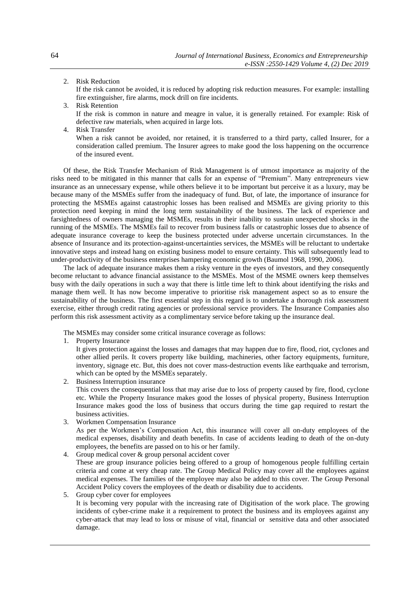## 2. Risk Reduction

If the risk cannot be avoided, it is reduced by adopting risk reduction measures. For example: installing fire extinguisher, fire alarms, mock drill on fire incidents.

- 3. Risk Retention If the risk is common in nature and meagre in value, it is generally retained. For example: Risk of defective raw materials, when acquired in large lots.
- 4. Risk Transfer

When a risk cannot be avoided, nor retained, it is transferred to a third party, called Insurer, for a consideration called premium. The Insurer agrees to make good the loss happening on the occurrence of the insured event.

Of these, the Risk Transfer Mechanism of Risk Management is of utmost importance as majority of the risks need to be mitigated in this manner that calls for an expense of "Premium". Many entrepreneurs view insurance as an unnecessary expense, while others believe it to be important but perceive it as a luxury, may be because many of the MSMEs suffer from the inadequacy of fund. But, of late, the importance of insurance for protecting the MSMEs against catastrophic losses has been realised and MSMEs are giving priority to this protection need keeping in mind the long term sustainability of the business. The lack of experience and farsightedness of owners managing the MSMEs, results in their inability to sustain unexpected shocks in the running of the MSMEs. The MSMEs fail to recover from business falls or catastrophic losses due to absence of adequate insurance coverage to keep the business protected under adverse uncertain circumstances. In the absence of Insurance and its protection-against-uncertainties services, the MSMEs will be reluctant to undertake innovative steps and instead hang on existing business model to ensure certainty. This will subsequently lead to under-productivity of the business enterprises hampering economic growth (Baumol 1968, 1990, 2006).

The lack of adequate insurance makes them a risky venture in the eyes of investors, and they consequently become reluctant to advance financial assistance to the MSMEs. Most of the MSME owners keep themselves busy with the daily operations in such a way that there is little time left to think about identifying the risks and manage them well. It has now become imperative to prioritise risk management aspect so as to ensure the sustainability of the business. The first essential step in this regard is to undertake a thorough risk assessment exercise, either through credit rating agencies or professional service providers. The Insurance Companies also perform this risk assessment activity as a complimentary service before taking up the insurance deal.

The MSMEs may consider some critical insurance coverage as follows:

1. Property Insurance

It gives protection against the losses and damages that may happen due to fire, flood, riot, cyclones and other allied perils. It covers property like building, machineries, other factory equipments, furniture, inventory, signage etc. But, this does not cover mass-destruction events like earthquake and terrorism, which can be opted by the MSMEs separately.

- 2. Business Interruption insurance This covers the consequential loss that may arise due to loss of property caused by fire, flood, cyclone etc. While the Property Insurance makes good the losses of physical property, Business Interruption Insurance makes good the loss of business that occurs during the time gap required to restart the business activities.
- 3. Workmen Compensation Insurance

As per the Workmen's Compensation Act, this insurance will cover all on-duty employees of the medical expenses, disability and death benefits. In case of accidents leading to death of the on-duty employees, the benefits are passed on to his or her family.

- 4. Group medical cover & group personal accident cover These are group insurance policies being offered to a group of homogenous people fulfilling certain criteria and come at very cheap rate. The Group Medical Policy may cover all the employees against medical expenses. The families of the employee may also be added to this cover. The Group Personal Accident Policy covers the employees of the death or disability due to accidents.
- 5. Group cyber cover for employees It is becoming very popular with the increasing rate of Digitisation of the work place. The growing incidents of cyber-crime make it a requirement to protect the business and its employees against any cyber-attack that may lead to loss or misuse of vital, financial or sensitive data and other associated damage.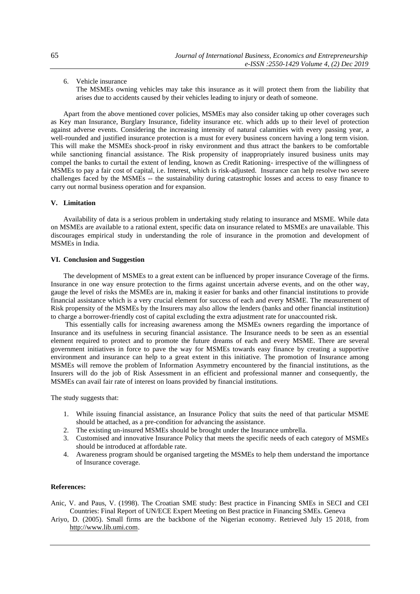6. Vehicle insurance

The MSMEs owning vehicles may take this insurance as it will protect them from the liability that arises due to accidents caused by their vehicles leading to injury or death of someone.

Apart from the above mentioned cover policies, MSMEs may also consider taking up other coverages such as Key man Insurance, Burglary Insurance, fidelity insurance etc. which adds up to their level of protection against adverse events. Considering the increasing intensity of natural calamities with every passing year, a well-rounded and justified insurance protection is a must for every business concern having a long term vision. This will make the MSMEs shock-proof in risky environment and thus attract the bankers to be comfortable while sanctioning financial assistance. The Risk propensity of inappropriately insured business units may compel the banks to curtail the extent of lending, known as Credit Rationing- irrespective of the willingness of MSMEs to pay a fair cost of capital, i.e. Interest, which is risk-adjusted. Insurance can help resolve two severe challenges faced by the MSMEs -- the sustainability during catastrophic losses and access to easy finance to carry out normal business operation and for expansion.

# **V. Limitation**

Availability of data is a serious problem in undertaking study relating to insurance and MSME. While data on MSMEs are available to a rational extent, specific data on insurance related to MSMEs are unavailable. This discourages empirical study in understanding the role of insurance in the promotion and development of MSMEs in India.

## **VI. Conclusion and Suggestion**

The development of MSMEs to a great extent can be influenced by proper insurance Coverage of the firms. Insurance in one way ensure protection to the firms against uncertain adverse events, and on the other way, gauge the level of risks the MSMEs are in, making it easier for banks and other financial institutions to provide financial assistance which is a very crucial element for success of each and every MSME. The measurement of Risk propensity of the MSMEs by the Insurers may also allow the lenders (banks and other financial institution) to charge a borrower-friendly cost of capital excluding the extra adjustment rate for unaccounted risk.

This essentially calls for increasing awareness among the MSMEs owners regarding the importance of Insurance and its usefulness in securing financial assistance. The Insurance needs to be seen as an essential element required to protect and to promote the future dreams of each and every MSME. There are several government initiatives in force to pave the way for MSMEs towards easy finance by creating a supportive environment and insurance can help to a great extent in this initiative. The promotion of Insurance among MSMEs will remove the problem of Information Asymmetry encountered by the financial institutions, as the Insurers will do the job of Risk Assessment in an efficient and professional manner and consequently, the MSMEs can avail fair rate of interest on loans provided by financial institutions.

The study suggests that:

- 1. While issuing financial assistance, an Insurance Policy that suits the need of that particular MSME should be attached, as a pre-condition for advancing the assistance.
- 2. The existing un-insured MSMEs should be brought under the Insurance umbrella.
- 3. Customised and innovative Insurance Policy that meets the specific needs of each category of MSMEs should be introduced at affordable rate.
- 4. Awareness program should be organised targeting the MSMEs to help them understand the importance of Insurance coverage.

#### **References:**

- Anic, V. and Paus, V. (1998). The Croatian SME study: Best practice in Financing SMEs in SECI and CEI Countries: Final Report of UN/ECE Expert Meeting on Best practice in Financing SMEs. Geneva
- Ariyo, D. (2005). Small firms are the backbone of the Nigerian economy. Retrieved July 15 2018, from [http://www.lib.umi.com.](http://www.lib.umi.com/)